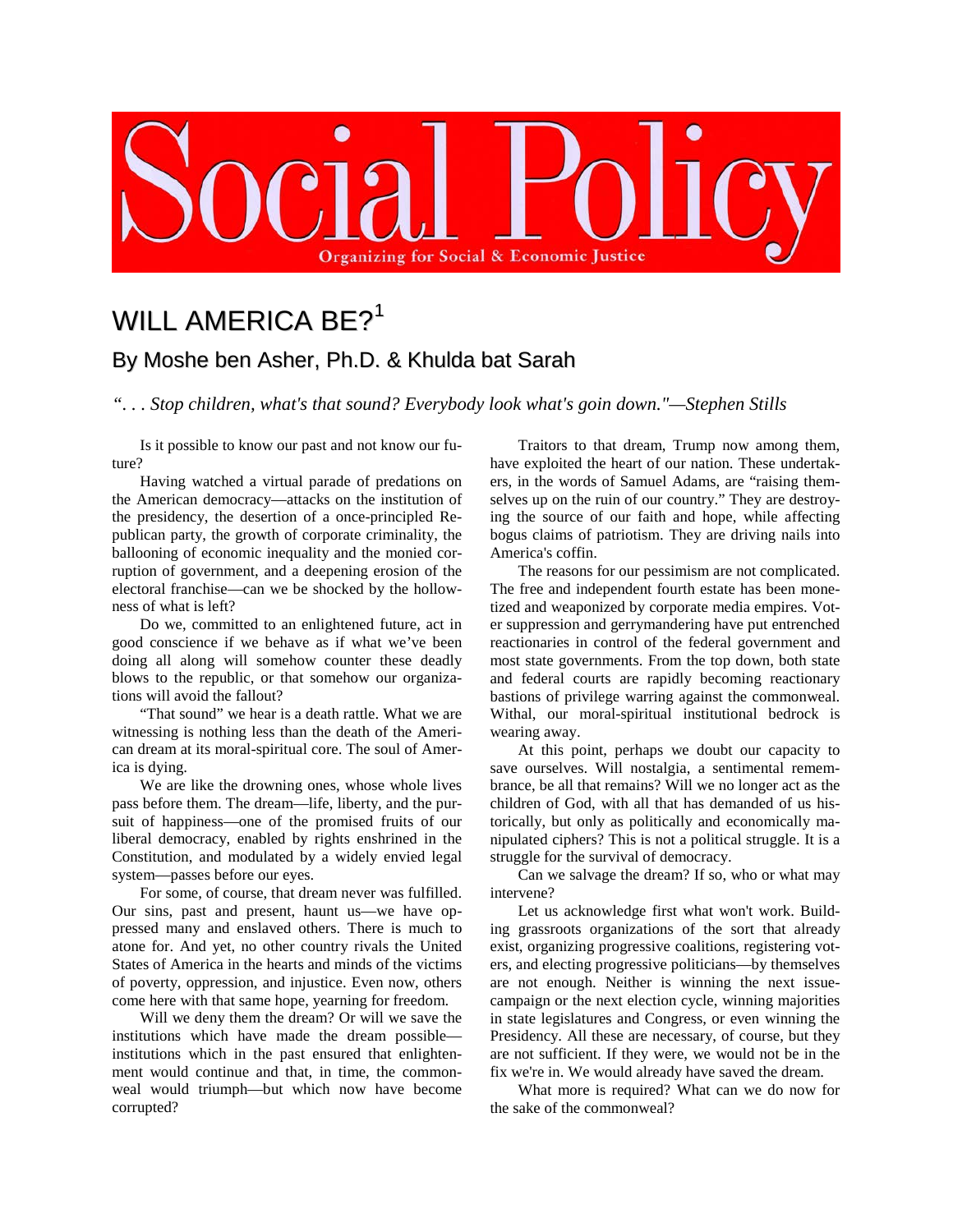

## WILL AMERICA BE?<sup>[1](#page-1-0)</sup> By Moshe ben Asher, Ph.D. & Khulda bat Sarah

*". . . Stop children, what's that sound? Everybody look what's goin down."—Stephen Stills*

Is it possible to know our past and not know our future?

Having watched a virtual parade of predations on the American democracy—attacks on the institution of the presidency, the desertion of a once-principled Republican party, the growth of corporate criminality, the ballooning of economic inequality and the monied corruption of government, and a deepening erosion of the electoral franchise—can we be shocked by the hollowness of what is left?

Do we, committed to an enlightened future, act in good conscience if we behave as if what we've been doing all along will somehow counter these deadly blows to the republic, or that somehow our organizations will avoid the fallout?

"That sound" we hear is a death rattle. What we are witnessing is nothing less than the death of the American dream at its moral-spiritual core. The soul of America is dying.

We are like the drowning ones, whose whole lives pass before them. The dream—life, liberty, and the pursuit of happiness—one of the promised fruits of our liberal democracy, enabled by rights enshrined in the Constitution, and modulated by a widely envied legal system—passes before our eyes.

For some, of course, that dream never was fulfilled. Our sins, past and present, haunt us—we have oppressed many and enslaved others. There is much to atone for. And yet, no other country rivals the United States of America in the hearts and minds of the victims of poverty, oppression, and injustice. Even now, others come here with that same hope, yearning for freedom.

Will we deny them the dream? Or will we save the institutions which have made the dream possible institutions which in the past ensured that enlightenment would continue and that, in time, the commonweal would triumph—but which now have become corrupted?

Traitors to that dream, Trump now among them, have exploited the heart of our nation. These undertakers, in the words of Samuel Adams, are "raising themselves up on the ruin of our country." They are destroying the source of our faith and hope, while affecting bogus claims of patriotism. They are driving nails into America's coffin.

The reasons for our pessimism are not complicated. The free and independent fourth estate has been monetized and weaponized by corporate media empires. Voter suppression and gerrymandering have put entrenched reactionaries in control of the federal government and most state governments. From the top down, both state and federal courts are rapidly becoming reactionary bastions of privilege warring against the commonweal. Withal, our moral-spiritual institutional bedrock is wearing away.

At this point, perhaps we doubt our capacity to save ourselves. Will nostalgia, a sentimental remembrance, be all that remains? Will we no longer act as the children of God, with all that has demanded of us historically, but only as politically and economically manipulated ciphers? This is not a political struggle. It is a struggle for the survival of democracy.

Can we salvage the dream? If so, who or what may intervene?

Let us acknowledge first what won't work. Building grassroots organizations of the sort that already exist, organizing progressive coalitions, registering voters, and electing progressive politicians—by themselves are not enough. Neither is winning the next issuecampaign or the next election cycle, winning majorities in state legislatures and Congress, or even winning the Presidency. All these are necessary, of course, but they are not sufficient. If they were, we would not be in the fix we're in. We would already have saved the dream.

What more is required? What can we do now for the sake of the commonweal?